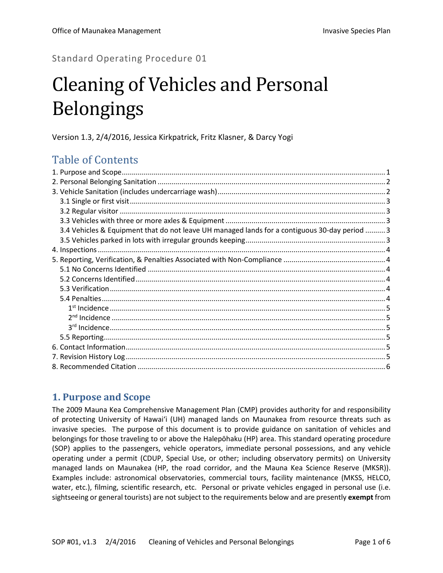Standard Operating Procedure 01

# Cleaning of Vehicles and Personal Belongings

Version 1.3, 2/4/2016, Jessica Kirkpatrick, Fritz Klasner, & Darcy Yogi

# Table of Contents

| 3.4 Vehicles & Equipment that do not leave UH managed lands for a contiguous 30-day period  3 |  |
|-----------------------------------------------------------------------------------------------|--|
|                                                                                               |  |
|                                                                                               |  |
|                                                                                               |  |
|                                                                                               |  |
|                                                                                               |  |
|                                                                                               |  |
|                                                                                               |  |
|                                                                                               |  |
|                                                                                               |  |
|                                                                                               |  |
|                                                                                               |  |
|                                                                                               |  |
|                                                                                               |  |
|                                                                                               |  |

# <span id="page-0-0"></span>**1. Purpose and Scope**

The 2009 Mauna Kea Comprehensive Management Plan (CMP) provides authority for and responsibility of protecting University of Hawai'i (UH) managed lands on Maunakea from resource threats such as invasive species. The purpose of this document is to provide guidance on sanitation of vehicles and belongings for those traveling to or above the Halepōhaku (HP) area. This standard operating procedure (SOP) applies to the passengers, vehicle operators, immediate personal possessions, and any vehicle operating under a permit (CDUP, Special Use, or other; including observatory permits) on University managed lands on Maunakea (HP, the road corridor, and the Mauna Kea Science Reserve (MKSR)). Examples include: astronomical observatories, commercial tours, facility maintenance (MKSS, HELCO, water, etc.), filming, scientific research, etc. Personal or private vehicles engaged in personal use (i.e. sightseeing or general tourists) are not subject to the requirements below and are presently **exempt** from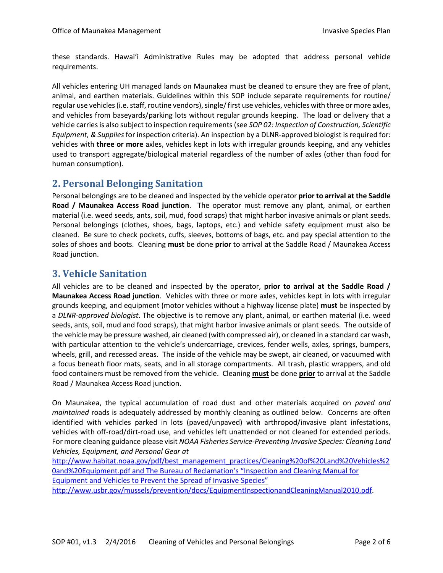these standards. Hawai'i Administrative Rules may be adopted that address personal vehicle requirements.

All vehicles entering UH managed lands on Maunakea must be cleaned to ensure they are free of plant, animal, and earthen materials. Guidelines within this SOP include separate requirements for routine/ regular use vehicles (i.e. staff, routine vendors), single/first use vehicles, vehicles with three or more axles, and vehicles from baseyards/parking lots without regular grounds keeping. The load or delivery that a vehicle carries is also subject to inspection requirements (see *SOP 02: Inspection of Construction, Scientific Equipment, & Supplies* for inspection criteria). An inspection by a DLNR-approved biologist is required for: vehicles with **three or more** axles, vehicles kept in lots with irregular grounds keeping, and any vehicles used to transport aggregate/biological material regardless of the number of axles (other than food for human consumption).

#### <span id="page-1-0"></span>**2. Personal Belonging Sanitation**

Personal belongings are to be cleaned and inspected by the vehicle operator **prior to arrival at the Saddle Road / Maunakea Access Road junction**. The operator must remove any plant, animal, or earthen material (i.e. weed seeds, ants, soil, mud, food scraps) that might harbor invasive animals or plant seeds. Personal belongings (clothes, shoes, bags, laptops, etc.) and vehicle safety equipment must also be cleaned. Be sure to check pockets, cuffs, sleeves, bottoms of bags, etc. and pay special attention to the soles of shoes and boots. Cleaning **must** be done **prior** to arrival at the Saddle Road / Maunakea Access Road junction.

#### <span id="page-1-1"></span>**3. Vehicle Sanitation**

All vehicles are to be cleaned and inspected by the operator, **prior to arrival at the Saddle Road / Maunakea Access Road junction**. Vehicles with three or more axles, vehicles kept in lots with irregular grounds keeping, and equipment (motor vehicles without a highway license plate) **must** be inspected by a *DLNR-approved biologist*. The objective is to remove any plant, animal, or earthen material (i.e. weed seeds, ants, soil, mud and food scraps), that might harbor invasive animals or plant seeds. The outside of the vehicle may be pressure washed, air cleaned (with compressed air), or cleaned in a standard car wash, with particular attention to the vehicle's undercarriage, crevices, fender wells, axles, springs, bumpers, wheels, grill, and recessed areas. The inside of the vehicle may be swept, air cleaned, or vacuumed with a focus beneath floor mats, seats, and in all storage compartments. All trash, plastic wrappers, and old food containers must be removed from the vehicle. Cleaning **must** be done **prior** to arrival at the Saddle Road / Maunakea Access Road junction.

On Maunakea, the typical accumulation of road dust and other materials acquired on *paved and maintained* roads is adequately addressed by monthly cleaning as outlined below. Concerns are often identified with vehicles parked in lots (paved/unpaved) with arthropod/invasive plant infestations, vehicles with off-road/dirt-road use, and vehicles left unattended or not cleaned for extended periods. For more cleaning guidance please visit *NOAA Fisheries Service-Preventing Invasive Species: Cleaning Land Vehicles, Equipment, and Personal Gear at*

[http://www.habitat.noaa.gov/pdf/best\\_management\\_practices/Cleaning%20of%20Land%20Vehicles%2](http://www.habitat.noaa.gov/pdf/best_management_practices/Cleaning%20of%20Land%20Vehicles%20and%20Equipment.pdf) [0and%20Equipment.pdf](http://www.habitat.noaa.gov/pdf/best_management_practices/Cleaning%20of%20Land%20Vehicles%20and%20Equipment.pdf) and The Bureau of Reclamation's "Inspection and Cleaning Manual for Equipment and Vehicles to Prevent the Spread of Invasive Species" http://www.usbr.gov/mussels/prevention/docs/EquipmentInspectionandCleaningManual2010.pdf.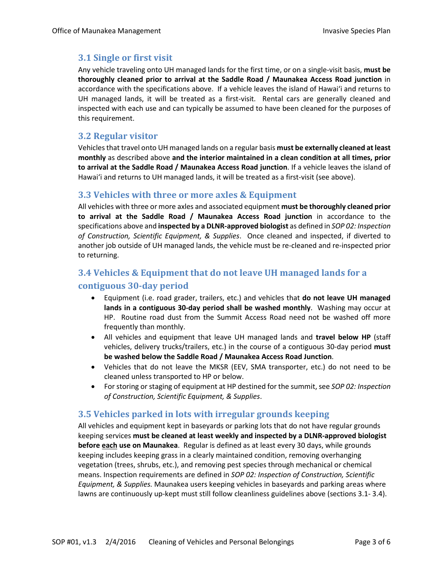#### <span id="page-2-0"></span>**3.1 Single or first visit**

Any vehicle traveling onto UH managed lands for the first time, or on a single-visit basis, **must be thoroughly cleaned prior to arrival at the Saddle Road / Maunakea Access Road junction** in accordance with the specifications above. If a vehicle leaves the island of Hawai'i and returns to UH managed lands, it will be treated as a first-visit. Rental cars are generally cleaned and inspected with each use and can typically be assumed to have been cleaned for the purposes of this requirement.

#### <span id="page-2-1"></span>**3.2 Regular visitor**

Vehicles that travel onto UH managed lands on a regular basis **must be externally cleaned at least monthly** as described above **and the interior maintained in a clean condition at all times, prior to arrival at the Saddle Road / Maunakea Access Road junction**. If a vehicle leaves the island of Hawai'i and returns to UH managed lands, it will be treated as a first-visit (see above).

#### <span id="page-2-2"></span>**3.3 Vehicles with three or more axles & Equipment**

All vehicles with three or more axles and associated equipment **must be thoroughly cleaned prior to arrival at the Saddle Road / Maunakea Access Road junction** in accordance to the specifications above and **inspected by a DLNR-approved biologist** as defined in *SOP 02: Inspection of Construction, Scientific Equipment, & Supplies*. Once cleaned and inspected, if diverted to another job outside of UH managed lands, the vehicle must be re-cleaned and re-inspected prior to returning.

### <span id="page-2-3"></span>**3.4 Vehicles & Equipment that do not leave UH managed lands for a contiguous 30-day period**

- Equipment (i.e. road grader, trailers, etc.) and vehicles that **do not leave UH managed lands in a contiguous 30-day period shall be washed monthly**. Washing may occur at HP. Routine road dust from the Summit Access Road need not be washed off more frequently than monthly.
- All vehicles and equipment that leave UH managed lands and **travel below HP** (staff vehicles, delivery trucks/trailers, etc.) in the course of a contiguous 30-day period **must be washed below the Saddle Road / Maunakea Access Road Junction**.
- Vehicles that do not leave the MKSR (EEV, SMA transporter, etc.) do not need to be cleaned unless transported to HP or below.
- For storing or staging of equipment at HP destined for the summit, see *SOP 02: Inspection of Construction, Scientific Equipment, & Supplies*.

#### <span id="page-2-4"></span>**3.5 Vehicles parked in lots with irregular grounds keeping**

All vehicles and equipment kept in baseyards or parking lots that do not have regular grounds keeping services **must be cleaned at least weekly and inspected by a DLNR-approved biologist before each use on Maunakea**. Regular is defined as at least every 30 days, while grounds keeping includes keeping grass in a clearly maintained condition, removing overhanging vegetation (trees, shrubs, etc.), and removing pest species through mechanical or chemical means. Inspection requirements are defined in *SOP 02: Inspection of Construction, Scientific Equipment, & Supplies.* Maunakea users keeping vehicles in baseyards and parking areas where lawns are continuously up-kept must still follow cleanliness guidelines above (sections 3.1- 3.4).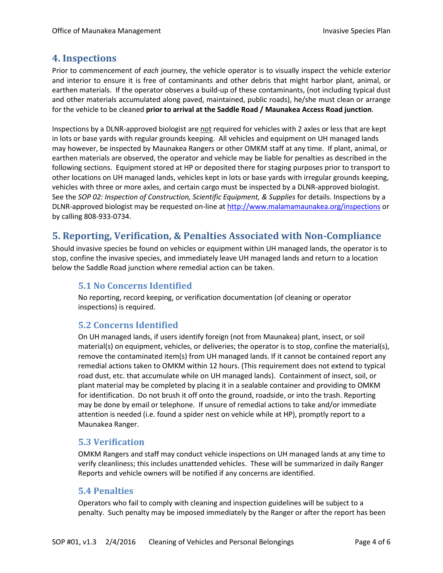#### <span id="page-3-0"></span>**4. Inspections**

Prior to commencement of *each* journey, the vehicle operator is to visually inspect the vehicle exterior and interior to ensure it is free of contaminants and other debris that might harbor plant, animal, or earthen materials. If the operator observes a build-up of these contaminants, (not including typical dust and other materials accumulated along paved, maintained, public roads), he/she must clean or arrange for the vehicle to be cleaned **prior to arrival at the Saddle Road / Maunakea Access Road junction**.

Inspections by a DLNR-approved biologist are not required for vehicles with 2 axles or less that are kept in lots or base yards with regular grounds keeping. All vehicles and equipment on UH managed lands may however, be inspected by Maunakea Rangers or other OMKM staff at any time. If plant, animal, or earthen materials are observed, the operator and vehicle may be liable for penalties as described in the following sections. Equipment stored at HP or deposited there for staging purposes prior to transport to other locations on UH managed lands, vehicles kept in lots or base yards with irregular grounds keeping, vehicles with three or more axles, and certain cargo must be inspected by a DLNR-approved biologist. See the *SOP 02: Inspection of Construction, Scientific Equipment, & Supplies* for details. Inspections by a DLNR-approved biologist may be requested on-line at<http://www.malamamaunakea.org/inspections> or by calling 808-933-0734.

# <span id="page-3-1"></span>**5. Reporting, Verification, & Penalties Associated with Non-Compliance**

<span id="page-3-2"></span>Should invasive species be found on vehicles or equipment within UH managed lands, the operator is to stop, confine the invasive species, and immediately leave UH managed lands and return to a location below the Saddle Road junction where remedial action can be taken.

#### **5.1 No Concerns Identified**

No reporting, record keeping, or verification documentation (of cleaning or operator inspections) is required.

#### <span id="page-3-3"></span>**5.2 Concerns Identified**

On UH managed lands, if users identify foreign (not from Maunakea) plant, insect, or soil material(s) on equipment, vehicles, or deliveries; the operator is to stop, confine the material(s), remove the contaminated item(s) from UH managed lands. If it cannot be contained report any remedial actions taken to OMKM within 12 hours. (This requirement does not extend to typical road dust, etc. that accumulate while on UH managed lands). Containment of insect, soil, or plant material may be completed by placing it in a sealable container and providing to OMKM for identification. Do not brush it off onto the ground, roadside, or into the trash. Reporting may be done by email or telephone. If unsure of remedial actions to take and/or immediate attention is needed (i.e. found a spider nest on vehicle while at HP), promptly report to a Maunakea Ranger.

#### <span id="page-3-4"></span>**5.3 Verification**

OMKM Rangers and staff may conduct vehicle inspections on UH managed lands at any time to verify cleanliness; this includes unattended vehicles. These will be summarized in daily Ranger Reports and vehicle owners will be notified if any concerns are identified.

#### <span id="page-3-5"></span>**5.4 Penalties**

Operators who fail to comply with cleaning and inspection guidelines will be subject to a penalty. Such penalty may be imposed immediately by the Ranger or after the report has been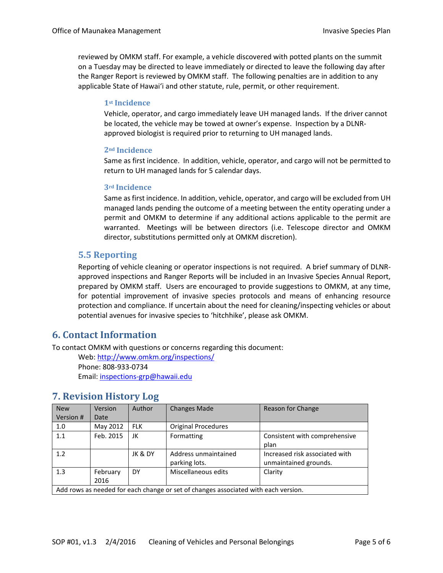<span id="page-4-0"></span>reviewed by OMKM staff. For example, a vehicle discovered with potted plants on the summit on a Tuesday may be directed to leave immediately or directed to leave the following day after the Ranger Report is reviewed by OMKM staff. The following penalties are in addition to any applicable State of Hawai'i and other statute, rule, permit, or other requirement.

#### **1st Incidence**

Vehicle, operator, and cargo immediately leave UH managed lands. If the driver cannot be located, the vehicle may be towed at owner's expense. Inspection by a DLNRapproved biologist is required prior to returning to UH managed lands.

#### <span id="page-4-1"></span>**2nd Incidence**

Same as first incidence. In addition, vehicle, operator, and cargo will not be permitted to return to UH managed lands for 5 calendar days.

#### <span id="page-4-2"></span>**3rd Incidence**

Same as first incidence. In addition, vehicle, operator, and cargo will be excluded from UH managed lands pending the outcome of a meeting between the entity operating under a permit and OMKM to determine if any additional actions applicable to the permit are warranted. Meetings will be between directors (i.e. Telescope director and OMKM director, substitutions permitted only at OMKM discretion).

#### <span id="page-4-3"></span>**5.5 Reporting**

Reporting of vehicle cleaning or operator inspections is not required. A brief summary of DLNRapproved inspections and Ranger Reports will be included in an Invasive Species Annual Report, prepared by OMKM staff. Users are encouraged to provide suggestions to OMKM, at any time, for potential improvement of invasive species protocols and means of enhancing resource protection and compliance. If uncertain about the need for cleaning/inspecting vehicles or about potential avenues for invasive species to 'hitchhike', please ask OMKM.

#### <span id="page-4-4"></span>**6. Contact Information**

To contact OMKM with questions or concerns regarding this document:

Web[: http://www.omkm.org/inspections/](http://www.omkm.org/inspections/) Phone: 808-933-0734 Email: [inspections-grp@hawaii.edu](mailto:inspections-grp@hawaii.edu)

| <b>New</b><br>Version #                                                            | <b>Version</b><br>Date | Author     | <b>Changes Made</b>                   | Reason for Change                                       |  |
|------------------------------------------------------------------------------------|------------------------|------------|---------------------------------------|---------------------------------------------------------|--|
|                                                                                    |                        |            |                                       |                                                         |  |
| 1.0                                                                                | May 2012               | <b>FLK</b> | Original Procedures                   |                                                         |  |
| 1.1                                                                                | Feb. 2015              | JK         | Formatting                            | Consistent with comprehensive<br>plan                   |  |
| 1.2                                                                                |                        | JK & DY    | Address unmaintained<br>parking lots. | Increased risk associated with<br>unmaintained grounds. |  |
| 1.3                                                                                | February<br>2016       | DY         | Miscellaneous edits                   | Clarity                                                 |  |
| Add rows as needed for each change or set of changes associated with each version. |                        |            |                                       |                                                         |  |

#### <span id="page-4-5"></span>**7. Revision History Log**